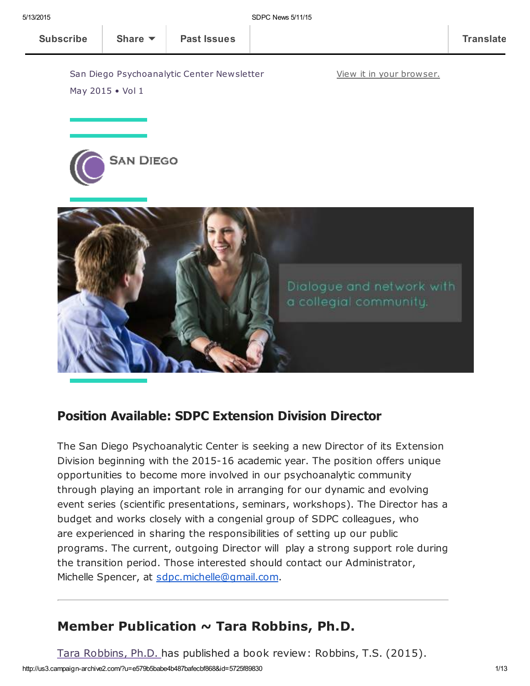View it in your [browser.](http://us3.campaign-archive1.com/?u=e579b5babe4b487bafecbf868&id=5725f89830&e=[UNIQID])

San Diego Psychoanalytic Center Newsletter May 2015 • Vol 1





### Position Available: SDPC Extension Division Director

The San Diego Psychoanalytic Center is seeking a new Director of its Extension Division beginning with the 2015-16 academic year. The position offers unique opportunities to become more involved in our psychoanalytic community through playing an important role in arranging for our dynamic and evolving event series (scientific presentations, seminars, workshops). The Director has a budget and works closely with a congenial group of SDPC colleagues, who are experienced in sharing the responsibilities of setting up our public programs. The current, outgoing Director will play a strong support role during the transition period. Those interested should contact our Administrator, Michelle Spencer, at [sdpc.michelle@gmail.com.](mailto:sdpc.michelle@gmail.com)

## Member Publication  $\sim$  Tara Robbins, Ph.D.

Tara [Robbins,](http://www.sdpsychoanalyticcenter.org/members/profiles/120#profile-main) Ph.D. has published a book review: Robbins, T.S. (2015).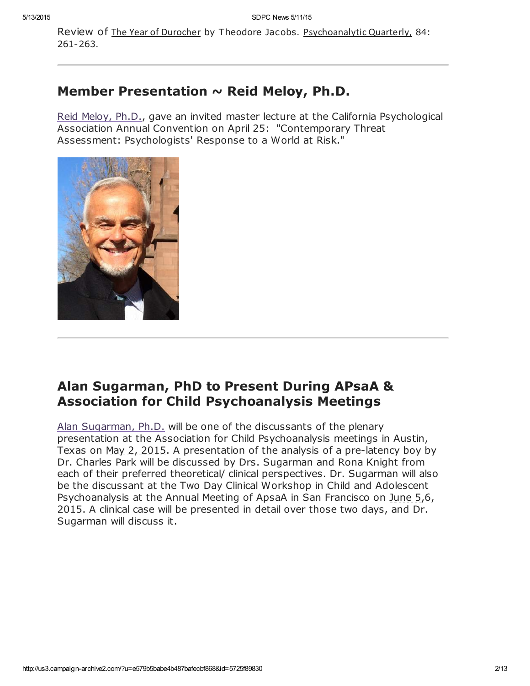Review of The Year of Durocher by Theodore Jacobs. Psychoanalytic Quarterly, 84: 261-263.

## Member Presentation  $\sim$  Reid Meloy, Ph.D.

Reid [Meloy,](http://www.sdpsychoanalyticcenter.org/members/profiles/61#profile-main) Ph.D., gave an invited master lecture at the California Psychological Association Annual Convention on April 25: "Contemporary Threat Assessment: Psychologists' Response to a World at Risk."



## Alan Sugarman, PhD to Present During APsaA & Association for Child Psychoanalysis Meetings

Alan [Sugarman,](http://www.sdpsychoanalyticcenter.org/members/profiles/38#profile-main) Ph.D. will be one of the discussants of the plenary presentation at the Association for Child Psychoanalysis meetings in Austin, Texas on May 2, 2015. A presentation of the analysis of a pre-latency boy by Dr. Charles Park will be discussed by Drs. Sugarman and Rona Knight from each of their preferred theoretical/ clinical perspectives. Dr. Sugarman will also be the discussant at the Two Day Clinical Workshop in Child and Adolescent Psychoanalysis at the Annual Meeting of ApsaA in San Francisco on June 5,6, 2015. A clinical case will be presented in detail over those two days, and Dr. Sugarman will discuss it.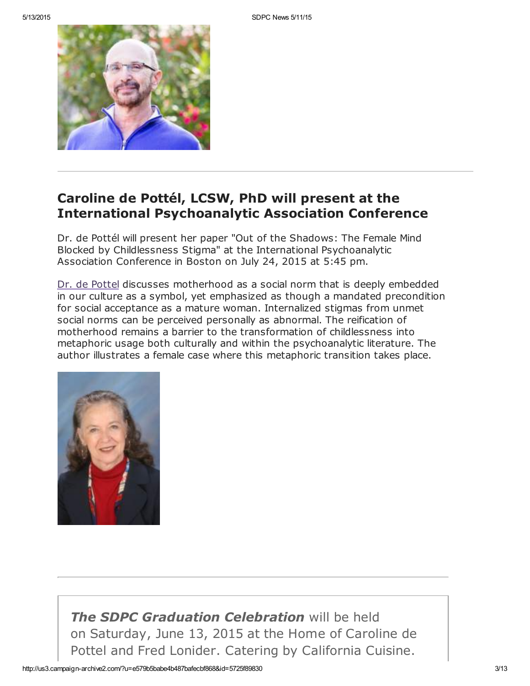

## Caroline de Pottél, LCSW, PhD will present at the International Psychoanalytic Association Conference

Dr. de Pottél will present her paper "Out of the Shadows: The Female Mind Blocked by Childlessness Stigma" at the International Psychoanalytic Association Conference in Boston on July 24, 2015 at 5:45 pm.

Dr. de [Pottel](http://www.sdpsychoanalyticcenter.org/members/profiles/12#profile-main) discusses motherhood as a social norm that is deeply embedded in our culture as a symbol, yet emphasized as though a mandated precondition for social acceptance as a mature woman. Internalized stigmas from unmet social norms can be perceived personally as abnormal. The reification of motherhood remains a barrier to the transformation of childlessness into metaphoric usage both culturally and within the psychoanalytic literature. The author illustrates a female case where this metaphoric transition takes place.



**The SDPC Graduation Celebration will be held** on Saturday, June 13, 2015 at the Home of Caroline de Pottel and Fred Lonider. Catering by California Cuisine.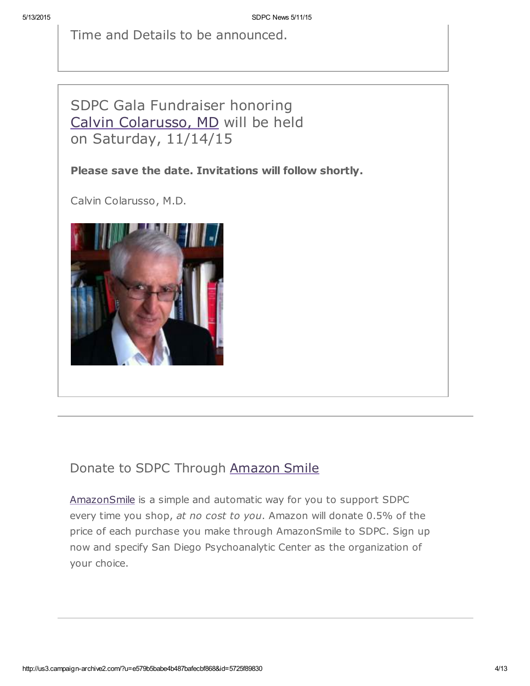Time and Details to be announced.

# SDPC Gala Fundraiser honoring Calvin [Colarusso,](http://www.sdpsychoanalyticcenter.org/members/profiles/20#profile-main) MD will be held on Saturday, 11/14/15

#### Please save the date. Invitations will follow shortly.

Calvin Colarusso, M.D.



# Donate to SDPC Through [Amazon](http://www.sdpsychoanalyticcenter.org/node/395#overlay-context=node/395) Smile

[AmazonSmile](http://smile.amazon.com/about) is a simple and automatic way for you to support SDPC every time you shop, at no cost to you. Amazon will donate 0.5% of the price of each purchase you make through AmazonSmile to SDPC. Sign up now and specify San Diego Psychoanalytic Center as the organization of your choice.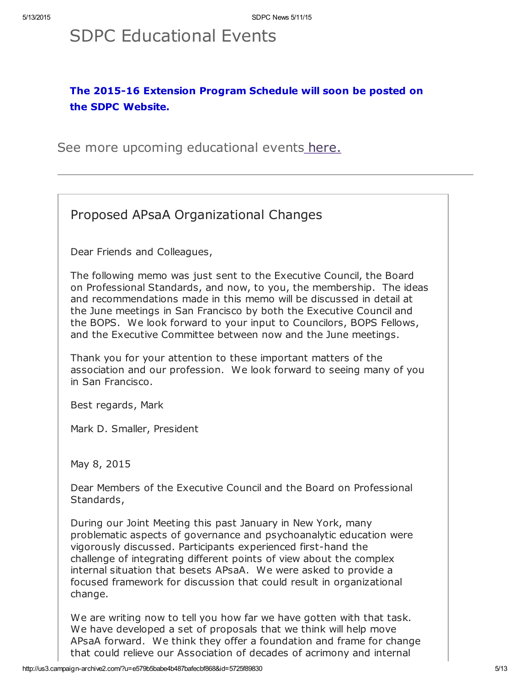# SDPC Educational Events

### The 2015-16 Extension Program Schedule will soon be posted on the SDPC Website.

See more upcoming educational events [here.](http://www.sdpsychoanalyticcenter.org/community-connections/upcoming-events)

Proposed APsaA Organizational Changes

Dear Friends and Colleagues,

The following memo was just sent to the Executive Council, the Board on Professional Standards, and now, to you, the membership. The ideas and recommendations made in this memo will be discussed in detail at the June meetings in San Francisco by both the Executive Council and the BOPS. We look forward to your input to Councilors, BOPS Fellows, and the Executive Committee between now and the June meetings.

Thank you for your attention to these important matters of the association and our profession. We look forward to seeing many of you in San Francisco.

Best regards, Mark

Mark D. Smaller, President

May 8, 2015

Dear Members of the Executive Council and the Board on Professional Standards,

During our Joint Meeting this past January in New York, many problematic aspects of governance and psychoanalytic education were vigorously discussed. Participants experienced first-hand the challenge of integrating different points of view about the complex internal situation that besets APsaA. We were asked to provide a focused framework for discussion that could result in organizational change.

We are writing now to tell you how far we have gotten with that task. We have developed a set of proposals that we think will help move APsaA forward. We think they offer a foundation and frame for change that could relieve our Association of decades of acrimony and internal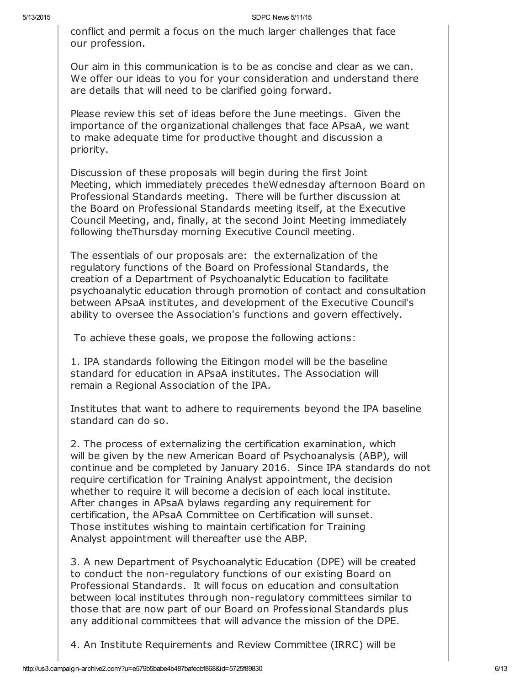conflict and permit a focus on the much larger challenges that face our profession.

Our aim in this communication is to be as concise and clear as we can. We offer our ideas to you for your consideration and understand there are details that will need to be clarified going forward.

Please review this set of ideas before the June meetings. Given the importance of the organizational challenges that face APsaA, we want to make adequate time for productive thought and discussion a priority.

Discussion of these proposals will begin during the first Joint Meeting, which immediately precedes theWednesday afternoon Board on Professional Standards meeting. There will be further discussion at the Board on Professional Standards meeting itself, at the Executive Council Meeting, and, finally, at the second Joint Meeting immediately following theThursday morning Executive Council meeting.

The essentials of our proposals are: the externalization of the regulatory functions of the Board on Professional Standards, the creation of a Department of Psychoanalytic Education to facilitate psychoanalytic education through promotion of contact and consultation between APsaA institutes, and development of the Executive Council's ability to oversee the Association's functions and govern effectively.

To achieve these goals, we propose the following actions:

1. IPA standards following the Eitingon model will be the baseline standard for education in APsaA institutes. The Association will remain a Regional Association of the IPA.

Institutes that want to adhere to requirements beyond the IPA baseline standard can do so.

2. The process of externalizing the certification examination, which will be given by the new American Board of Psychoanalysis (ABP), will continue and be completed by January 2016. Since IPA standards do not require certification for Training Analyst appointment, the decision whether to require it will become a decision of each local institute. After changes in APsaA bylaws regarding any requirement for certification, the APsaA Committee on Certification will sunset. Those institutes wishing to maintain certification for Training Analyst appointment will thereafter use the ABP.

3. A new Department of Psychoanalytic Education (DPE) will be created to conduct the non-regulatory functions of our existing Board on Professional Standards. It will focus on education and consultation between local institutes through non-regulatory committees similar to those that are now part of our Board on Professional Standards plus any additional committees that will advance the mission of the DPE.

4. An Institute Requirements and Review Committee (IRRC) will be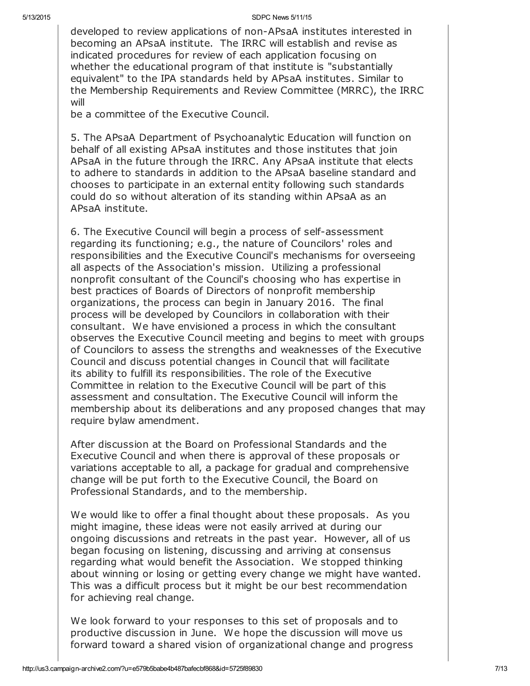developed to review applications of non-APsaA institutes interested in becoming an APsaA institute. The IRRC will establish and revise as indicated procedures for review of each application focusing on whether the educational program of that institute is "substantially equivalent" to the IPA standards held by APsaA institutes. Similar to the Membership Requirements and Review Committee (MRRC), the IRRC will

be a committee of the Executive Council.

5. The APsaA Department of Psychoanalytic Education will function on behalf of all existing APsaA institutes and those institutes that join APsaA in the future through the IRRC. Any APsaA institute that elects to adhere to standards in addition to the APsaA baseline standard and chooses to participate in an external entity following such standards could do so without alteration of its standing within APsaA as an APsaA institute.

6. The Executive Council will begin a process of self-assessment regarding its functioning; e.g., the nature of Councilors' roles and responsibilities and the Executive Council's mechanisms for overseeing all aspects of the Association's mission. Utilizing a professional nonprofit consultant of the Council's choosing who has expertise in best practices of Boards of Directors of nonprofit membership organizations, the process can begin in January 2016. The final process will be developed by Councilors in collaboration with their consultant. We have envisioned a process in which the consultant observes the Executive Council meeting and begins to meet with groups of Councilors to assess the strengths and weaknesses of the Executive Council and discuss potential changes in Council that will facilitate its ability to fulfill its responsibilities. The role of the Executive Committee in relation to the Executive Council will be part of this assessment and consultation. The Executive Council will inform the membership about its deliberations and any proposed changes that may require bylaw amendment.

After discussion at the Board on Professional Standards and the Executive Council and when there is approval of these proposals or variations acceptable to all, a package for gradual and comprehensive change will be put forth to the Executive Council, the Board on Professional Standards, and to the membership.

We would like to offer a final thought about these proposals. As you might imagine, these ideas were not easily arrived at during our ongoing discussions and retreats in the past year. However, all of us began focusing on listening, discussing and arriving at consensus regarding what would benefit the Association. We stopped thinking about winning or losing or getting every change we might have wanted. This was a difficult process but it might be our best recommendation for achieving real change.

We look forward to your responses to this set of proposals and to productive discussion in June. We hope the discussion will move us forward toward a shared vision of organizational change and progress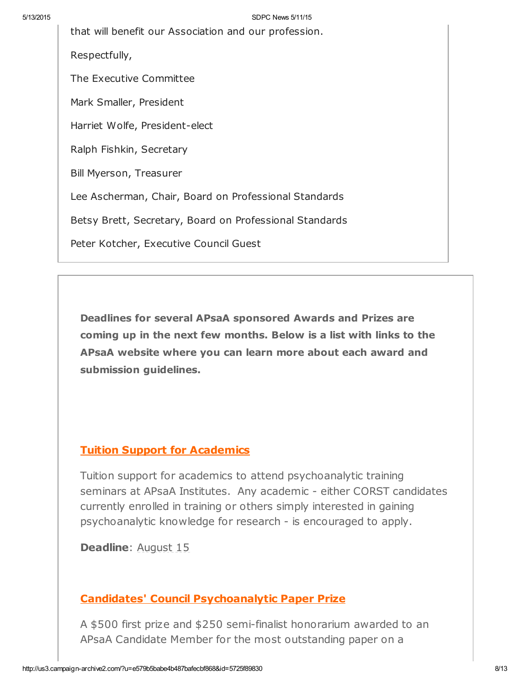that will benefit our Association and our profession.

Respectfully,

The Executive Committee

Mark Smaller, President

Harriet Wolfe, President-elect

Ralph Fishkin, Secretary

Bill Myerson, Treasurer

Lee Ascherman, Chair, Board on Professional Standards

Betsy Brett, Secretary, Board on Professional Standards

Peter Kotcher, Executive Council Guest

Deadlines for several APsaA sponsored Awards and Prizes are coming up in the next few months. Below is a list with links to the APsaA website where you can learn more about each award and submission guidelines.

#### Tuition Support for [Academics](http://r20.rs6.net/tn.jsp?f=001WMH22Cqil-IOwjlaTHw8aM9ttuF_36pzjtanycyZKcWDthPWCdwwDRpGyySf1D6tHyIL5JA1CHw-6RXWKYX_EeaDtFp4GE0RINGJ8AfVYaR8O6AMmRlHRS7zky3hmcyxyIARa63n2CxmikJl-SstghyP1-gVlWxBS7F4z_lebxfOYoSNE0TQP0SRRoSQbkI0qEWFH-xIVAU=&c=DLRK8TmDemag4nTT62mFDqPEB8cow4aEsDaatlztNmpDDAJUgcoS3g==&ch=ctxM20znWOS3EXdbDjxohCndfWEm6vfhssFQfyjaOLFV0QrknR2rZQ==)

Tuition support for academics to attend psychoanalytic training seminars at APsaA Institutes. Any academic - either CORST candidates currently enrolled in training or others simply interested in gaining psychoanalytic knowledge for research - is encouraged to apply.

Deadline: **August 15** 

#### Candidates' Council [Psychoanalytic](http://r20.rs6.net/tn.jsp?f=001WMH22Cqil-IOwjlaTHw8aM9ttuF_36pzjtanycyZKcWDthPWCdwwDRpGyySf1D6tyh9R8iien5bmceSeuivinw8jteocca068xT-iF9DQefLa3wA8W3WcrmG0pY85JgWSS5LpSVzeiZ9nV2gYTGni-I-ZnnnRn4z3XWiEpnauqfbCH8q9fMc3eDWkf23JkQ4T51puLQyxgzB6N3tgfdRU5HWSS0OMZN11skHOM13TWYohMtB4cClZA==&c=DLRK8TmDemag4nTT62mFDqPEB8cow4aEsDaatlztNmpDDAJUgcoS3g==&ch=ctxM20znWOS3EXdbDjxohCndfWEm6vfhssFQfyjaOLFV0QrknR2rZQ==) Paper Prize

A \$500 first prize and \$250 semi-finalist honorarium awarded to an APsaA Candidate Member for the most outstanding paper on a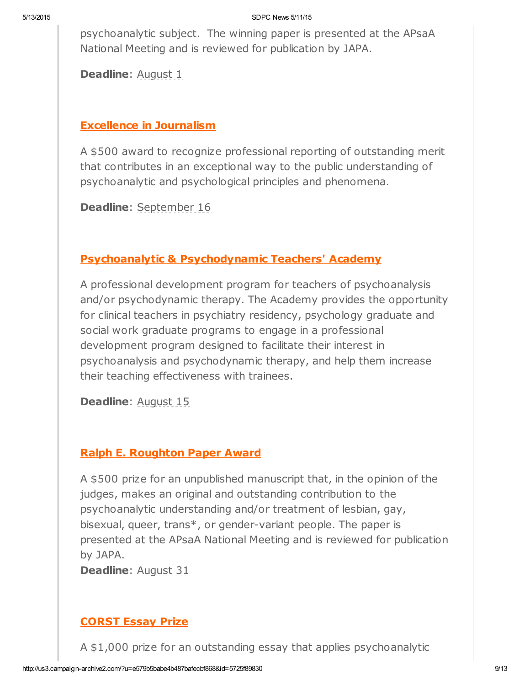psychoanalytic subject. The winning paper is presented at the APsaA National Meeting and is reviewed for publication by JAPA.

Deadline: August 1

#### Excellence in [Journalism](http://r20.rs6.net/tn.jsp?f=001WMH22Cqil-IOwjlaTHw8aM9ttuF_36pzjtanycyZKcWDthPWCdwwDRpGyySf1D6tnrHEI6OMTYEn_eDIZFtOgEF62DAe2pCr8cXVmb8wkKUb6pkmXBOysatb88posIAwQFPusL6Au1dsWs71Vw2ih50JamCj4r3bdzzuDRButaBe8msyZcQESXjFUgPlz7Azr_uqsEV5gPO8f029dpR0MA==&c=DLRK8TmDemag4nTT62mFDqPEB8cow4aEsDaatlztNmpDDAJUgcoS3g==&ch=ctxM20znWOS3EXdbDjxohCndfWEm6vfhssFQfyjaOLFV0QrknR2rZQ==)

A \$500 award to recognize professional reporting of outstanding merit that contributes in an exceptional way to the public understanding of psychoanalytic and psychological principles and phenomena.

Deadline: September 16

### Psychoanalytic & [Psychodynamic](http://r20.rs6.net/tn.jsp?f=001WMH22Cqil-IOwjlaTHw8aM9ttuF_36pzjtanycyZKcWDthPWCdwwDRpGyySf1D6trovgukz8-YA4CEyDwWanVeNAllUXOU7EADSwt3nnWp6OaMkJY7NQE-vevSbPWgIWrnAPDYp9BkEgheFxEUrpE8If8D9uZBrcWWm7XCMIyyoJFVUoQTNJqZXR7sS-QVGH&c=DLRK8TmDemag4nTT62mFDqPEB8cow4aEsDaatlztNmpDDAJUgcoS3g==&ch=ctxM20znWOS3EXdbDjxohCndfWEm6vfhssFQfyjaOLFV0QrknR2rZQ==) Teachers' Academy

A professional development program for teachers of psychoanalysis and/or psychodynamic therapy. The Academy provides the opportunity for clinical teachers in psychiatry residency, psychology graduate and social work graduate programs to engage in a professional development program designed to facilitate their interest in psychoanalysis and psychodynamic therapy, and help them increase their teaching effectiveness with trainees.

Deadline: August 15

### Ralph E. [Roughton](http://r20.rs6.net/tn.jsp?f=001WMH22Cqil-IOwjlaTHw8aM9ttuF_36pzjtanycyZKcWDthPWCdwwDRpGyySf1D6tfrA1P3k-u6_ca_J65-z6ZTPvwjYRxwRYiwbJqTiGvyZGXpjFD5Lo2n15u49sTUv5XESQ8BHcST35Jctk1twDj25im3aZ7rYQPmq3HCJoZeJfCITQzghhZA==&c=DLRK8TmDemag4nTT62mFDqPEB8cow4aEsDaatlztNmpDDAJUgcoS3g==&ch=ctxM20znWOS3EXdbDjxohCndfWEm6vfhssFQfyjaOLFV0QrknR2rZQ==) Paper Award

A \$500 prize for an unpublished manuscript that, in the opinion of the judges, makes an original and outstanding contribution to the psychoanalytic understanding and/or treatment of lesbian, gay, bisexual, queer, trans\*, or gender-variant people. The paper is presented at the APsaA National Meeting and is reviewed for publication by JAPA.

Deadline: **August 31** 

### [CORST](http://r20.rs6.net/tn.jsp?f=001WMH22Cqil-IOwjlaTHw8aM9ttuF_36pzjtanycyZKcWDthPWCdwwDRpGyySf1D6tJE3M2wfhQIb7aI6kSl2x2d1-FntZaXxW1GiZH-buaFTgezyTuUqNw8O6UxqE-E4xpnpf0ynJdwPcJQ_UBW2Q-jOAzE0RiUUh1AIt3RcNWngdyyvJFg6w-da1wprdDBpXEo7MkFHDqZbUh3kBA8Kxd-HtOmtg2sjWuNWJMXiqssRy_RQQA1TqnQ==&c=DLRK8TmDemag4nTT62mFDqPEB8cow4aEsDaatlztNmpDDAJUgcoS3g==&ch=ctxM20znWOS3EXdbDjxohCndfWEm6vfhssFQfyjaOLFV0QrknR2rZQ==) Essay Prize

A \$1,000 prize for an outstanding essay that applies psychoanalytic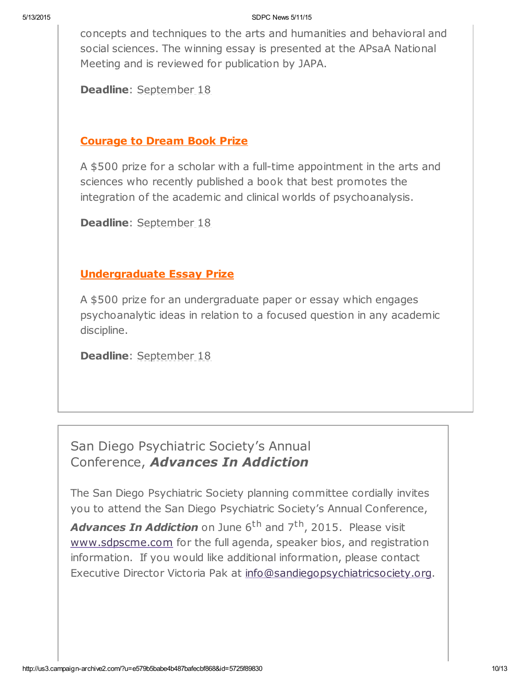concepts and techniques to the arts and humanities and behavioral and social sciences. The winning essay is presented at the APsaA National Meeting and is reviewed for publication by JAPA.

Deadline: September 18

#### [Courage](http://r20.rs6.net/tn.jsp?f=001WMH22Cqil-IOwjlaTHw8aM9ttuF_36pzjtanycyZKcWDthPWCdwwDRpGyySf1D6tcm-W5lIGU0Ftjg5lPOZm9ZddF2UEAP7nO7-wh7ygML9W7ZCOsZamzKGvauuoBOPFFncADZgYd0uNOjzp_ARpSJbEumpSFtx5nptmeKdIk1EU5bNqfNyzBvQ9MTaGrzS5GD0YL4Kin-AA5UEBonKM2g==&c=DLRK8TmDemag4nTT62mFDqPEB8cow4aEsDaatlztNmpDDAJUgcoS3g==&ch=ctxM20znWOS3EXdbDjxohCndfWEm6vfhssFQfyjaOLFV0QrknR2rZQ==) to Dream Book Prize

A \$500 prize for a scholar with a full-time appointment in the arts and sciences who recently published a book that best promotes the integration of the academic and clinical worlds of psychoanalysis.

Deadline: September 18

### [Undergraduate](http://r20.rs6.net/tn.jsp?f=001WMH22Cqil-IOwjlaTHw8aM9ttuF_36pzjtanycyZKcWDthPWCdwwDRpGyySf1D6tYwF7Ja-KIdLoleS--jztr9ueazbRkf_KQ2oec7bF2bjr-Q4LtXaWjOepis5X_UK7MPlZs58nDjLRZx-aXrgvQpZFLzYfthIvVzWkDkquSiQ-XxxiTp6HZNYhh_8br4ab35q1ICQBEzsL9a7RFKqJlA==&c=DLRK8TmDemag4nTT62mFDqPEB8cow4aEsDaatlztNmpDDAJUgcoS3g==&ch=ctxM20znWOS3EXdbDjxohCndfWEm6vfhssFQfyjaOLFV0QrknR2rZQ==) Essay Prize

A \$500 prize for an undergraduate paper or essay which engages psychoanalytic ideas in relation to a focused question in any academic discipline.

Deadline: September 18

# San Diego Psychiatric Society's Annual Conference, Advances In Addiction

The San Diego Psychiatric Society planning committee cordially invites you to attend the San Diego Psychiatric Society's Annual Conference,

Advances In Addiction on June 6<sup>th</sup> and 7<sup>th</sup>, 2015. Please visit [www.sdpscme.](http://www.sdpscme.org/)[com](http://www.sdpscme.com/) for the full agenda, speaker bios, and registration information. If you would like additional information, please contact Executive Director Victoria Pak at [info@sandiegopsychiatricsociety.org.](mailto:victoria.pak@gmail.com)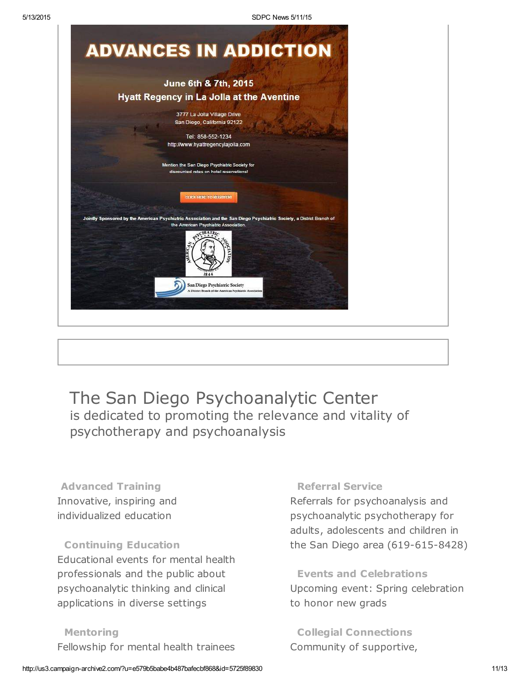

# The San Diego Psychoanalytic Center is dedicated to promoting the relevance and vitality of psychotherapy and psychoanalysis

Advanced Training Innovative, inspiring and individualized education

### Continuing Education Educational events for mental health professionals and the public about psychoanalytic thinking and clinical applications in diverse settings

#### Mentoring

Fellowship for mental health trainees

#### Referral Service

Referrals for psychoanalysis and psychoanalytic psychotherapy for adults, adolescents and children in the San Diego area (619-615-8428)

Events and Celebrations Upcoming event: Spring celebration to honor new grads

Collegial Connections Community of supportive,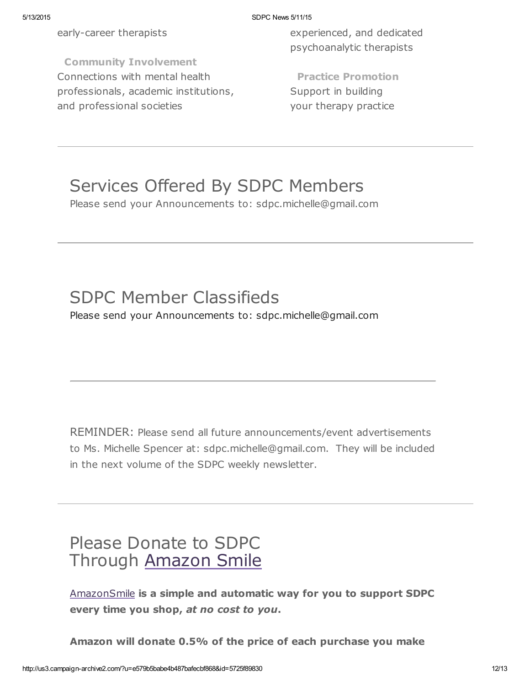early-career therapists

Community Involvement Connections with mental health professionals, academic institutions, and professional societies

experienced, and dedicated psychoanalytic therapists

Practice Promotion Support in building your therapy practice

# Services Offered By SDPC Members

Please send your Announcements to: sdpc.michelle@gmail.com

# SDPC Member Classifieds

Please send your Announcements to: sdpc.michelle@gmail.com

REMINDER: Please send all future announcements/event advertisements to Ms. Michelle Spencer at: sdpc.michelle@gmail.com. They will be included in the next volume of the SDPC weekly newsletter.

# Please Donate to SDPC Through [Amazon](http://www.sdpsychoanalyticcenter.org/node/395#overlay-context=node/395) Smile

[AmazonSmile](http://smile.amazon.com/about) is a simple and automatic way for you to support SDPC every time you shop, at no cost to you.

Amazon will donate 0.5% of the price of each purchase you make